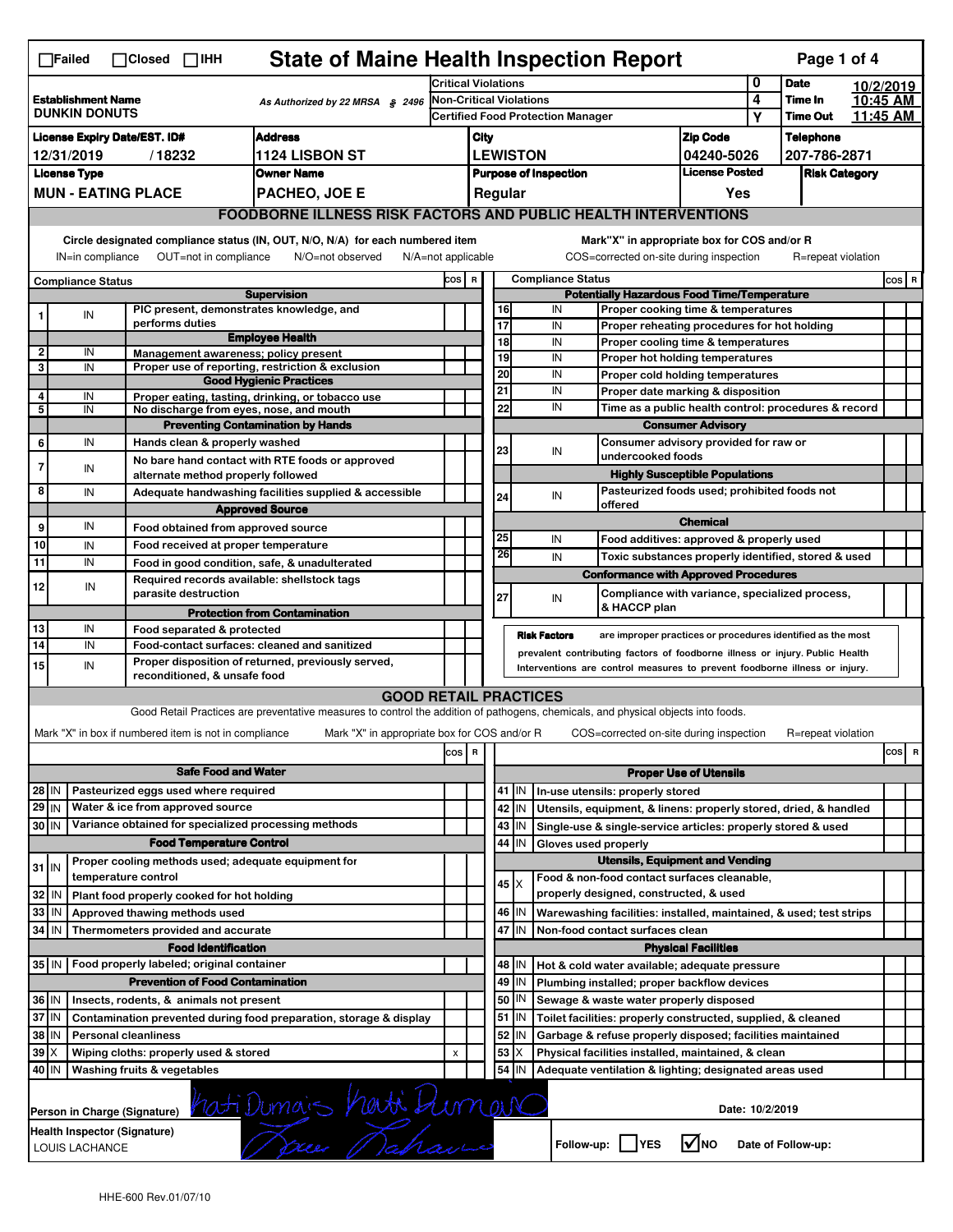| <b>State of Maine Health Inspection Report</b><br>Page 1 of 4<br>$\Box$ Failed<br>$\Box$ Closed $\Box$ IHH |                                                                                                                                                                       |  |                                                                     |                                                                                                                                   |                                                                  |                         |                                                                              |                                                           |                                                                            |                                                                       |                                                                       |                  |                    |           |       |   |
|------------------------------------------------------------------------------------------------------------|-----------------------------------------------------------------------------------------------------------------------------------------------------------------------|--|---------------------------------------------------------------------|-----------------------------------------------------------------------------------------------------------------------------------|------------------------------------------------------------------|-------------------------|------------------------------------------------------------------------------|-----------------------------------------------------------|----------------------------------------------------------------------------|-----------------------------------------------------------------------|-----------------------------------------------------------------------|------------------|--------------------|-----------|-------|---|
|                                                                                                            |                                                                                                                                                                       |  |                                                                     |                                                                                                                                   | <b>Critical Violations</b>                                       |                         |                                                                              |                                                           |                                                                            |                                                                       |                                                                       | 0                | <b>Date</b>        | 10/2/2019 |       |   |
| <b>Establishment Name</b><br>As Authorized by 22 MRSA § 2496<br><b>DUNKIN DONUTS</b>                       |                                                                                                                                                                       |  | <b>Non-Critical Violations</b><br>Certified Food Protection Manager |                                                                                                                                   |                                                                  |                         |                                                                              |                                                           |                                                                            | 4                                                                     | Time In                                                               | 10:45 AM         |                    |           |       |   |
|                                                                                                            |                                                                                                                                                                       |  |                                                                     |                                                                                                                                   |                                                                  |                         |                                                                              |                                                           |                                                                            |                                                                       | Υ                                                                     | <b>Time Out</b>  | 11:45 AM           |           |       |   |
| <b>Address</b><br><b>License Expiry Date/EST. ID#</b>                                                      |                                                                                                                                                                       |  |                                                                     | City                                                                                                                              |                                                                  |                         |                                                                              |                                                           |                                                                            | <b>Zip Code</b>                                                       |                                                                       | <b>Telephone</b> |                    |           |       |   |
| <b>1124 LISBON ST</b><br>12/31/2019<br>/18232                                                              |                                                                                                                                                                       |  |                                                                     | <b>LEWISTON</b>                                                                                                                   |                                                                  |                         |                                                                              |                                                           | 04240-5026                                                                 |                                                                       |                                                                       | 207-786-2871     |                    |           |       |   |
|                                                                                                            | <b>License Type</b>                                                                                                                                                   |  |                                                                     | <b>Owner Name</b>                                                                                                                 | <b>License Posted</b><br><b>Purpose of Inspection</b><br>Regular |                         |                                                                              |                                                           |                                                                            | <b>Risk Category</b>                                                  |                                                                       |                  |                    |           |       |   |
|                                                                                                            | <b>MUN - EATING PLACE</b>                                                                                                                                             |  |                                                                     | <b>PACHEO, JOE E</b>                                                                                                              |                                                                  |                         |                                                                              |                                                           |                                                                            |                                                                       | Yes                                                                   |                  |                    |           |       |   |
| <b>FOODBORNE ILLNESS RISK FACTORS AND PUBLIC HEALTH INTERVENTIONS</b>                                      |                                                                                                                                                                       |  |                                                                     |                                                                                                                                   |                                                                  |                         |                                                                              |                                                           |                                                                            |                                                                       |                                                                       |                  |                    |           |       |   |
|                                                                                                            | Circle designated compliance status (IN, OUT, N/O, N/A) for each numbered item<br>OUT=not in compliance<br>IN=in compliance<br>N/O=not observed<br>N/A=not applicable |  |                                                                     |                                                                                                                                   |                                                                  |                         |                                                                              |                                                           | COS=corrected on-site during inspection                                    |                                                                       | Mark"X" in appropriate box for COS and/or R                           |                  | R=repeat violation |           |       |   |
|                                                                                                            | <b>Compliance Status</b>                                                                                                                                              |  |                                                                     |                                                                                                                                   | COS R                                                            |                         |                                                                              |                                                           | <b>Compliance Status</b>                                                   |                                                                       |                                                                       |                  |                    |           | COS R |   |
|                                                                                                            |                                                                                                                                                                       |  |                                                                     | <b>Supervision</b>                                                                                                                |                                                                  |                         | <b>Potentially Hazardous Food Time/Temperature</b>                           |                                                           |                                                                            |                                                                       |                                                                       |                  |                    |           |       |   |
| 1                                                                                                          | IN                                                                                                                                                                    |  | PIC present, demonstrates knowledge, and                            |                                                                                                                                   |                                                                  |                         | 16                                                                           |                                                           | IN                                                                         |                                                                       | Proper cooking time & temperatures                                    |                  |                    |           |       |   |
|                                                                                                            |                                                                                                                                                                       |  | performs duties                                                     | <b>Employee Health</b>                                                                                                            |                                                                  |                         | 17<br>18                                                                     |                                                           | IN<br>IN                                                                   |                                                                       | Proper reheating procedures for hot holding                           |                  |                    |           |       |   |
| $\overline{\mathbf{c}}$                                                                                    | IN                                                                                                                                                                    |  | Management awareness: policy present                                |                                                                                                                                   |                                                                  |                         | 19                                                                           |                                                           | IN                                                                         |                                                                       | Proper cooling time & temperatures<br>Proper hot holding temperatures |                  |                    |           |       |   |
| 3                                                                                                          | IN                                                                                                                                                                    |  |                                                                     | Proper use of reporting, restriction & exclusion                                                                                  |                                                                  |                         | 20                                                                           |                                                           | IN                                                                         |                                                                       |                                                                       |                  |                    |           |       |   |
|                                                                                                            |                                                                                                                                                                       |  |                                                                     | <b>Good Hygienic Practices</b>                                                                                                    |                                                                  |                         | 21                                                                           |                                                           | IN                                                                         | Proper cold holding temperatures<br>Proper date marking & disposition |                                                                       |                  |                    |           |       |   |
| 4<br>5                                                                                                     | IN<br>IN                                                                                                                                                              |  | No discharge from eyes, nose, and mouth                             | Proper eating, tasting, drinking, or tobacco use                                                                                  |                                                                  |                         | 22                                                                           |                                                           | IN                                                                         | Time as a public health control: procedures & record                  |                                                                       |                  |                    |           |       |   |
|                                                                                                            |                                                                                                                                                                       |  |                                                                     | <b>Preventing Contamination by Hands</b>                                                                                          |                                                                  |                         |                                                                              |                                                           |                                                                            |                                                                       | <b>Consumer Advisory</b>                                              |                  |                    |           |       |   |
| 6                                                                                                          | IN                                                                                                                                                                    |  | Hands clean & properly washed                                       |                                                                                                                                   |                                                                  |                         |                                                                              |                                                           | Consumer advisory provided for raw or                                      |                                                                       |                                                                       |                  |                    |           |       |   |
| $\overline{7}$                                                                                             |                                                                                                                                                                       |  |                                                                     | No bare hand contact with RTE foods or approved                                                                                   |                                                                  |                         | 23                                                                           |                                                           | IN                                                                         | undercooked foods                                                     |                                                                       |                  |                    |           |       |   |
|                                                                                                            | IN                                                                                                                                                                    |  | alternate method properly followed                                  |                                                                                                                                   |                                                                  |                         |                                                                              |                                                           |                                                                            |                                                                       | <b>Highly Susceptible Populations</b>                                 |                  |                    |           |       |   |
| 8                                                                                                          | IN                                                                                                                                                                    |  |                                                                     | Adequate handwashing facilities supplied & accessible                                                                             |                                                                  |                         | 24                                                                           |                                                           | IN                                                                         |                                                                       | Pasteurized foods used; prohibited foods not                          |                  |                    |           |       |   |
|                                                                                                            |                                                                                                                                                                       |  | <b>Approved Source</b>                                              |                                                                                                                                   |                                                                  |                         |                                                                              | offered                                                   |                                                                            |                                                                       |                                                                       |                  |                    |           |       |   |
| 9                                                                                                          | IN                                                                                                                                                                    |  | Food obtained from approved source                                  |                                                                                                                                   |                                                                  |                         | 25                                                                           |                                                           | IN                                                                         |                                                                       | <b>Chemical</b>                                                       |                  |                    |           |       |   |
| 10                                                                                                         | IN                                                                                                                                                                    |  | Food received at proper temperature                                 |                                                                                                                                   |                                                                  |                         | 26                                                                           |                                                           |                                                                            |                                                                       | Food additives: approved & properly used                              |                  |                    |           |       |   |
| 11                                                                                                         | IN                                                                                                                                                                    |  | Food in good condition, safe, & unadulterated                       |                                                                                                                                   |                                                                  |                         |                                                                              |                                                           | IN                                                                         |                                                                       | Toxic substances properly identified, stored & used                   |                  |                    |           |       |   |
| 12                                                                                                         | IN                                                                                                                                                                    |  | Required records available: shellstock tags                         |                                                                                                                                   |                                                                  |                         |                                                                              |                                                           |                                                                            |                                                                       | <b>Conformance with Approved Procedures</b>                           |                  |                    |           |       |   |
|                                                                                                            |                                                                                                                                                                       |  | parasite destruction                                                |                                                                                                                                   |                                                                  |                         | 27                                                                           |                                                           | IN<br>& HACCP plan                                                         |                                                                       | Compliance with variance, specialized process,                        |                  |                    |           |       |   |
|                                                                                                            |                                                                                                                                                                       |  |                                                                     | <b>Protection from Contamination</b>                                                                                              |                                                                  |                         |                                                                              |                                                           |                                                                            |                                                                       |                                                                       |                  |                    |           |       |   |
| 14                                                                                                         | 13<br>IN<br>Food separated & protected<br>IN                                                                                                                          |  |                                                                     |                                                                                                                                   |                                                                  |                         |                                                                              |                                                           | <b>Risk Factors</b>                                                        |                                                                       | are improper practices or procedures identified as the most           |                  |                    |           |       |   |
| Food-contact surfaces: cleaned and sanitized<br>Proper disposition of returned, previously served,         |                                                                                                                                                                       |  |                                                                     |                                                                                                                                   |                                                                  |                         | prevalent contributing factors of foodborne illness or injury. Public Health |                                                           |                                                                            |                                                                       |                                                                       |                  |                    |           |       |   |
| 15                                                                                                         | IN                                                                                                                                                                    |  | reconditioned, & unsafe food                                        |                                                                                                                                   |                                                                  |                         |                                                                              |                                                           | Interventions are control measures to prevent foodborne illness or injury. |                                                                       |                                                                       |                  |                    |           |       |   |
|                                                                                                            |                                                                                                                                                                       |  |                                                                     | <b>GOOD RETAIL PRACTICES</b>                                                                                                      |                                                                  |                         |                                                                              |                                                           |                                                                            |                                                                       |                                                                       |                  |                    |           |       |   |
|                                                                                                            |                                                                                                                                                                       |  |                                                                     | Good Retail Practices are preventative measures to control the addition of pathogens, chemicals, and physical objects into foods. |                                                                  |                         |                                                                              |                                                           |                                                                            |                                                                       |                                                                       |                  |                    |           |       |   |
|                                                                                                            |                                                                                                                                                                       |  | Mark "X" in box if numbered item is not in compliance               | Mark "X" in appropriate box for COS and/or R                                                                                      |                                                                  |                         |                                                                              |                                                           |                                                                            |                                                                       | COS=corrected on-site during inspection                               |                  | R=repeat violation |           |       |   |
|                                                                                                            |                                                                                                                                                                       |  |                                                                     |                                                                                                                                   | cos                                                              | $\overline{\mathbf{R}}$ |                                                                              |                                                           |                                                                            |                                                                       |                                                                       |                  |                    |           | cos   | R |
|                                                                                                            |                                                                                                                                                                       |  | <b>Safe Food and Water</b>                                          |                                                                                                                                   |                                                                  |                         | <b>Proper Use of Utensils</b>                                                |                                                           |                                                                            |                                                                       |                                                                       |                  |                    |           |       |   |
|                                                                                                            | Pasteurized eggs used where required<br>28 IN                                                                                                                         |  |                                                                     |                                                                                                                                   |                                                                  |                         |                                                                              | 41 J IN                                                   | In-use utensils: properly stored                                           |                                                                       |                                                                       |                  |                    |           |       |   |
| $29$ IN                                                                                                    |                                                                                                                                                                       |  | Water & ice from approved source                                    |                                                                                                                                   |                                                                  |                         |                                                                              | 42 IN                                                     | Utensils, equipment, & linens: properly stored, dried, & handled           |                                                                       |                                                                       |                  |                    |           |       |   |
| 30 IN                                                                                                      |                                                                                                                                                                       |  | Variance obtained for specialized processing methods                |                                                                                                                                   |                                                                  |                         |                                                                              | $43$   IN                                                 | Single-use & single-service articles: properly stored & used               |                                                                       |                                                                       |                  |                    |           |       |   |
|                                                                                                            |                                                                                                                                                                       |  | <b>Food Temperature Control</b>                                     |                                                                                                                                   |                                                                  |                         | 44                                                                           | IN                                                        | Gloves used properly                                                       |                                                                       |                                                                       |                  |                    |           |       |   |
|                                                                                                            |                                                                                                                                                                       |  | Proper cooling methods used; adequate equipment for                 |                                                                                                                                   |                                                                  |                         |                                                                              |                                                           |                                                                            |                                                                       | <b>Utensils, Equipment and Vending</b>                                |                  |                    |           |       |   |
| $31$ IN                                                                                                    |                                                                                                                                                                       |  | temperature control                                                 |                                                                                                                                   |                                                                  |                         |                                                                              | $45 \times$                                               | Food & non-food contact surfaces cleanable,                                |                                                                       |                                                                       |                  |                    |           |       |   |
| 32                                                                                                         | IN                                                                                                                                                                    |  | Plant food properly cooked for hot holding                          |                                                                                                                                   |                                                                  |                         |                                                                              |                                                           | properly designed, constructed, & used                                     |                                                                       |                                                                       |                  |                    |           |       |   |
| 33                                                                                                         | IN                                                                                                                                                                    |  | Approved thawing methods used                                       |                                                                                                                                   |                                                                  |                         |                                                                              | 46 IN                                                     | Warewashing facilities: installed, maintained, & used; test strips         |                                                                       |                                                                       |                  |                    |           |       |   |
| 34                                                                                                         | l IN                                                                                                                                                                  |  | Thermometers provided and accurate                                  |                                                                                                                                   |                                                                  |                         |                                                                              | 47 I IN                                                   | Non-food contact surfaces clean                                            |                                                                       |                                                                       |                  |                    |           |       |   |
|                                                                                                            |                                                                                                                                                                       |  | <b>Food Identification</b>                                          |                                                                                                                                   |                                                                  |                         |                                                                              |                                                           |                                                                            |                                                                       | <b>Physical Facilities</b>                                            |                  |                    |           |       |   |
|                                                                                                            |                                                                                                                                                                       |  | 35 IN   Food properly labeled; original container                   |                                                                                                                                   |                                                                  |                         |                                                                              | 48   IN                                                   | Hot & cold water available; adequate pressure                              |                                                                       |                                                                       |                  |                    |           |       |   |
|                                                                                                            |                                                                                                                                                                       |  | <b>Prevention of Food Contamination</b>                             |                                                                                                                                   |                                                                  |                         | 49                                                                           | IN                                                        | Plumbing installed; proper backflow devices                                |                                                                       |                                                                       |                  |                    |           |       |   |
|                                                                                                            | 36 IN<br>Insects, rodents, & animals not present                                                                                                                      |  |                                                                     |                                                                                                                                   |                                                                  |                         | 50                                                                           | IN                                                        | Sewage & waste water properly disposed                                     |                                                                       |                                                                       |                  |                    |           |       |   |
|                                                                                                            | 37 IN<br>Contamination prevented during food preparation, storage & display                                                                                           |  |                                                                     |                                                                                                                                   |                                                                  |                         | 51                                                                           | IN.                                                       | Toilet facilities: properly constructed, supplied, & cleaned               |                                                                       |                                                                       |                  |                    |           |       |   |
| 38<br>IN<br><b>Personal cleanliness</b>                                                                    |                                                                                                                                                                       |  |                                                                     |                                                                                                                                   |                                                                  | 52                      | ΙN                                                                           | Garbage & refuse properly disposed; facilities maintained |                                                                            |                                                                       |                                                                       |                  |                    |           |       |   |
| 39                                                                                                         | ΙX<br>Wiping cloths: properly used & stored                                                                                                                           |  |                                                                     |                                                                                                                                   |                                                                  |                         | 53                                                                           | х                                                         | Physical facilities installed, maintained, & clean                         |                                                                       |                                                                       |                  |                    |           |       |   |
| 40 IN                                                                                                      |                                                                                                                                                                       |  | Washing fruits & vegetables                                         |                                                                                                                                   |                                                                  |                         | 54                                                                           | IN                                                        | Adequate ventilation & lighting; designated areas used                     |                                                                       |                                                                       |                  |                    |           |       |   |
|                                                                                                            | Person in Charge (Signature)                                                                                                                                          |  |                                                                     |                                                                                                                                   |                                                                  |                         |                                                                              |                                                           |                                                                            |                                                                       | Date: 10/2/2019                                                       |                  |                    |           |       |   |
|                                                                                                            | Health Inspector (Signature)<br>LOUIS LACHANCE                                                                                                                        |  |                                                                     | hati Dumais hati Dumar                                                                                                            |                                                                  |                         |                                                                              |                                                           | Follow-up: YES                                                             |                                                                       | √мо                                                                   |                  | Date of Follow-up: |           |       |   |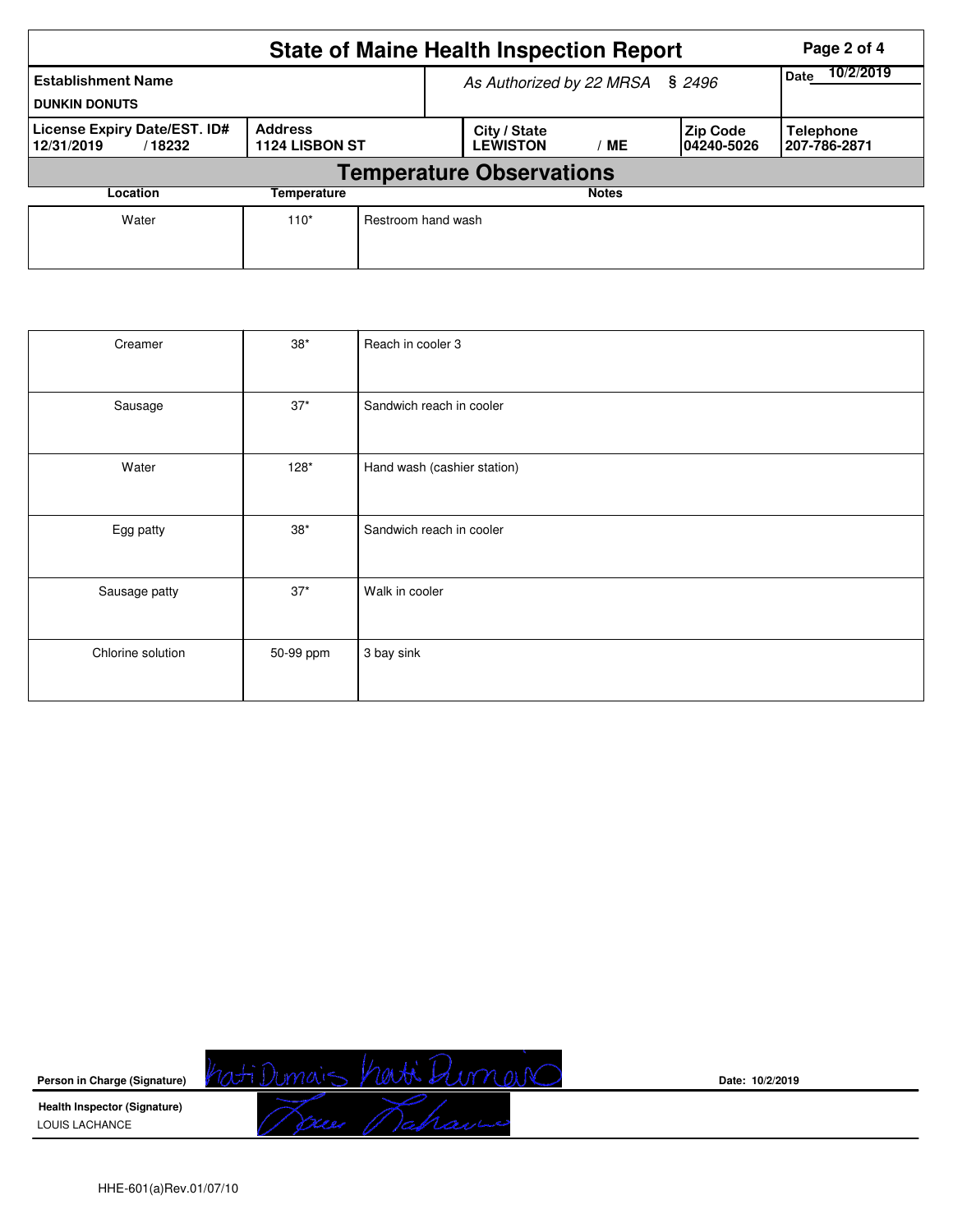| <b>State of Maine Health Inspection Report</b><br>Page 2 of 4 |                                 |                                       |                          |                                |                                  |  |  |  |  |  |
|---------------------------------------------------------------|---------------------------------|---------------------------------------|--------------------------|--------------------------------|----------------------------------|--|--|--|--|--|
| <b>Establishment Name</b><br><b>DUNKIN DONUTS</b>             |                                 | As Authorized by 22 MRSA § 2496       | 10/2/2019<br><b>Date</b> |                                |                                  |  |  |  |  |  |
| License Expiry Date/EST. ID#<br>12/31/2019<br>/18232          | 1124 LISBON ST                  | City / State<br><b>LEWISTON</b><br>MЕ |                          | <b>Zip Code</b><br>104240-5026 | <b>Telephone</b><br>207-786-2871 |  |  |  |  |  |
|                                                               | <b>Temperature Observations</b> |                                       |                          |                                |                                  |  |  |  |  |  |
| Location<br>Temperature                                       |                                 |                                       |                          | <b>Notes</b>                   |                                  |  |  |  |  |  |
| Water                                                         | $110*$                          | Restroom hand wash                    |                          |                                |                                  |  |  |  |  |  |

| Creamer           | $38*$     | Reach in cooler 3           |
|-------------------|-----------|-----------------------------|
| Sausage           | $37*$     | Sandwich reach in cooler    |
| Water             | $128*$    | Hand wash (cashier station) |
| Egg patty         | $38*$     | Sandwich reach in cooler    |
| Sausage patty     | $37*$     | Walk in cooler              |
| Chlorine solution | 50-99 ppm | 3 bay sink                  |

**Person in Charge (Signature)**

hati Dumais havi Dumain

Trees Mahan

**Date: 10/2/2019**

**Health Inspector (Signature)**  LOUIS LACHANCE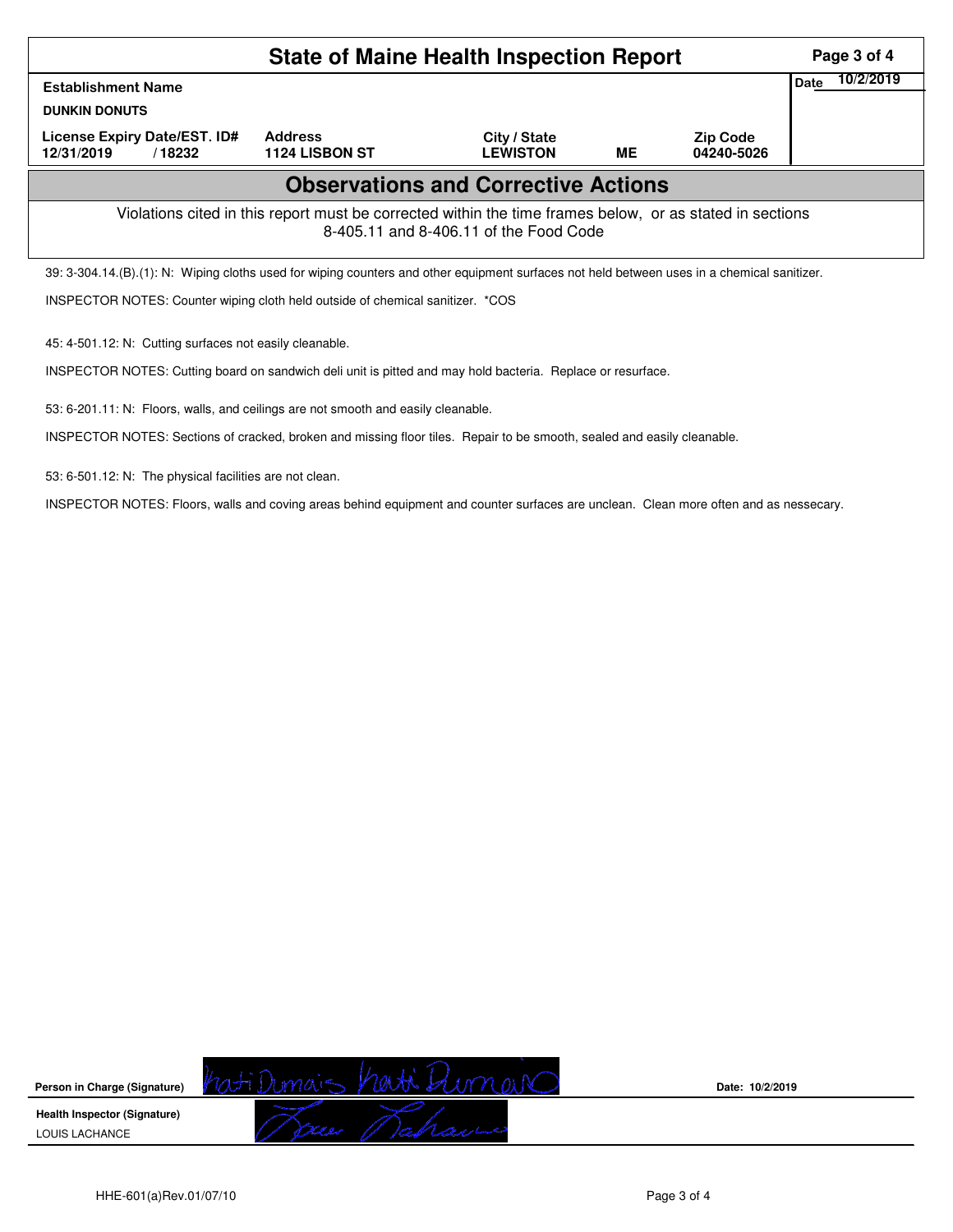| <b>State of Maine Health Inspection Report</b><br>Page 3 of 4                                                                                      |                                         |                                 |    |                               |  |  |  |  |  |  |
|----------------------------------------------------------------------------------------------------------------------------------------------------|-----------------------------------------|---------------------------------|----|-------------------------------|--|--|--|--|--|--|
| <b>Establishment Name</b>                                                                                                                          | Date                                    | 10/2/2019                       |    |                               |  |  |  |  |  |  |
| <b>DUNKIN DONUTS</b>                                                                                                                               |                                         |                                 |    |                               |  |  |  |  |  |  |
| License Expiry Date/EST. ID#<br>12/31/2019<br>/18232                                                                                               | <b>Address</b><br><b>1124 LISBON ST</b> | City / State<br><b>LEWISTON</b> | MЕ | <b>Zip Code</b><br>04240-5026 |  |  |  |  |  |  |
| <b>Observations and Corrective Actions</b>                                                                                                         |                                         |                                 |    |                               |  |  |  |  |  |  |
| Violations cited in this report must be corrected within the time frames below, or as stated in sections<br>8-405.11 and 8-406.11 of the Food Code |                                         |                                 |    |                               |  |  |  |  |  |  |
| 39: 3-304.14.(B).(1): N: Wiping cloths used for wiping counters and other equipment surfaces not held between uses in a chemical sanitizer.        |                                         |                                 |    |                               |  |  |  |  |  |  |
| INSPECTOR NOTES: Counter wiping cloth held outside of chemical sanitizer. *COS                                                                     |                                         |                                 |    |                               |  |  |  |  |  |  |

45: 4-501.12: N: Cutting surfaces not easily cleanable.

INSPECTOR NOTES: Cutting board on sandwich deli unit is pitted and may hold bacteria. Replace or resurface.

53: 6-201.11: N: Floors, walls, and ceilings are not smooth and easily cleanable.

INSPECTOR NOTES: Sections of cracked, broken and missing floor tiles. Repair to be smooth, sealed and easily cleanable.

53: 6-501.12: N: The physical facilities are not clean.

INSPECTOR NOTES: Floors, walls and coving areas behind equipment and counter surfaces are unclean. Clean more often and as nessecary.



**Date: 10/2/2019**